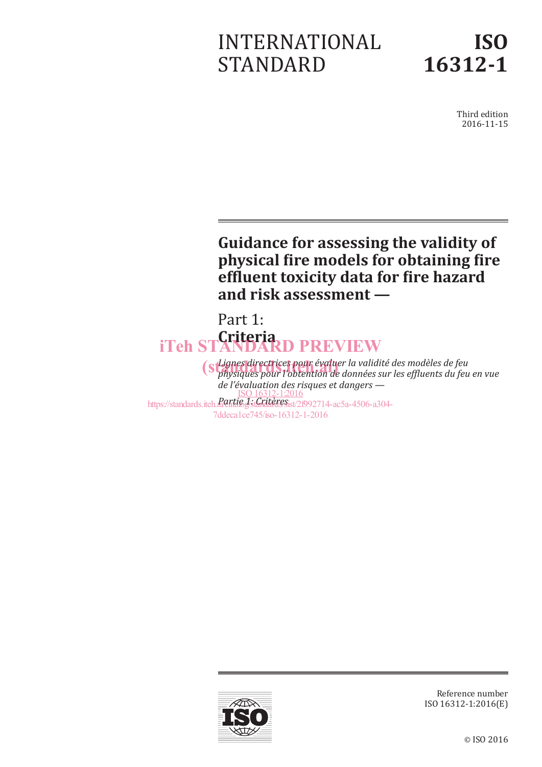# INTERNATIONAL STANDARD

**ISO 16312-1**

> Third edition 2016-11-15

## **Guidance for assessing the validity of physical fire models for obtaining fire effluent toxicity data for fire hazard and risk assessment —**

Part 1: **Criteria** iTeh STANDARD PREVIEW

*(s<sup>1</sup>lignes directrices pour évaluer la validité des modèles de feu*<br>
obvsiques pour l'obtention de données sur les effluents du feu *physiques pour l'obtention de données sur les effluents du feu en vue de l'évaluation des risques et dangers — Partie 1: Critères* ISO 16312-1:2016 https://standards.iteh.aileatalog/standards/sist/2f992714-ac5a-4506-a304-7ddeca1ce745/iso-16312-1-2016



Reference number ISO 16312-1:2016(E)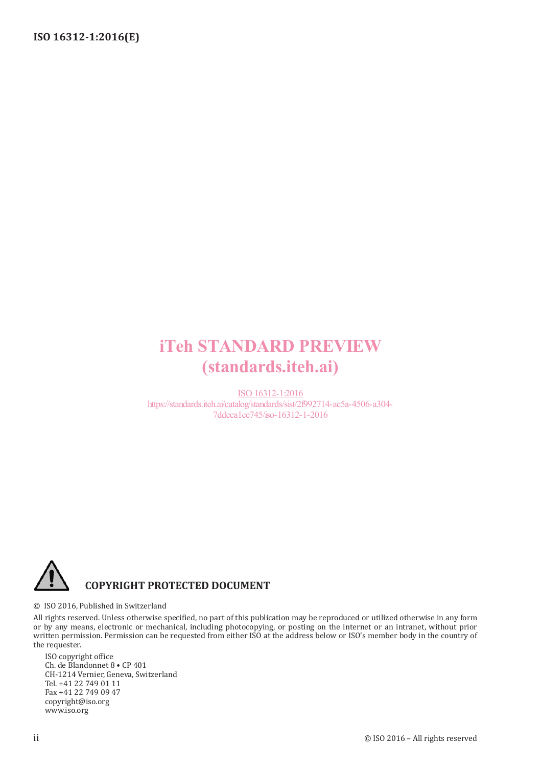## iTeh STANDARD PREVIEW (standards.iteh.ai)

ISO 16312-1:2016 https://standards.iteh.ai/catalog/standards/sist/2f992714-ac5a-4506-a304- 7ddeca1ce745/iso-16312-1-2016



#### © ISO 2016, Published in Switzerland

All rights reserved. Unless otherwise specified, no part of this publication may be reproduced or utilized otherwise in any form or by any means, electronic or mechanical, including photocopying, or posting on the internet or an intranet, without prior written permission. Permission can be requested from either ISO at the address below or ISO's member body in the country of the requester.

ISO copyright office Ch. de Blandonnet 8 • CP 401 CH-1214 Vernier, Geneva, Switzerland Tel. +41 22 749 01 11 Fax +41 22 749 09 47 copyright@iso.org www.iso.org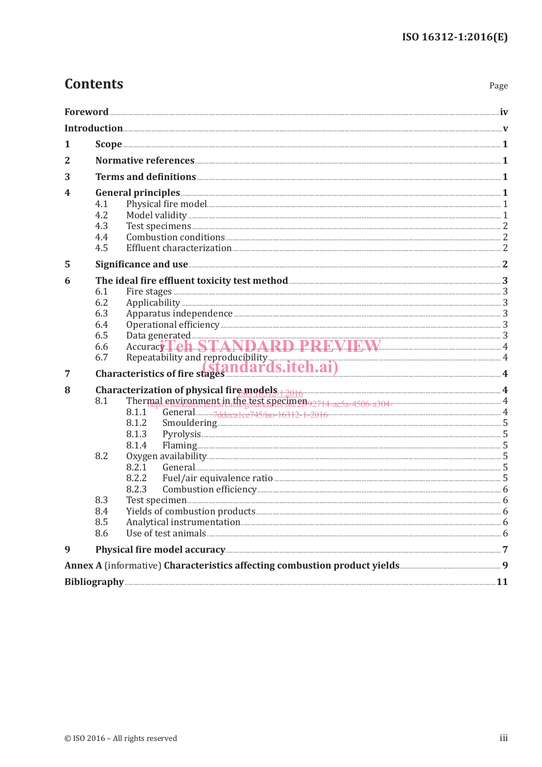## **Contents**

| ٠<br>I<br>×<br>۰, |
|-------------------|
|-------------------|

| 1 |                                                                                                                                                                                                                                     |  |
|---|-------------------------------------------------------------------------------------------------------------------------------------------------------------------------------------------------------------------------------------|--|
| 2 |                                                                                                                                                                                                                                     |  |
| 3 |                                                                                                                                                                                                                                     |  |
| 4 | 4.1<br>4.2<br>4.3<br>4.4<br>4.5                                                                                                                                                                                                     |  |
| 5 | Significance and use <u>the contract of the contract of the contract of the contract of</u> the contract of the contract of the contract of the contract of the contract of the contract of the contract of the contract of the con |  |
| 6 | The ideal fire effluent toxicity test method <b>Election Constructs</b> 3<br>6.1<br>6.2<br>6.3<br>6.4<br>6.5<br>6.6<br>6.7 Repeatability and reproducibility<br>Characteristics of fire stages<br>4                                 |  |
| 7 |                                                                                                                                                                                                                                     |  |
| 8 | Characterization of physical fire models 1-2016<br>8.1 Thermal environment in the test specimen 992714-ac5a-4506-a304-<br>8.1.1<br>Smouldering 5<br>8.1.2<br>8.1.3<br>8.1.4<br>8.2                                                  |  |
|   | 8.2.1<br>8.2.2<br>8.2.3<br>8.3<br>8.4<br>8.5<br>Use of test animals <b>contract to the contract of the contract of the contract of test animals</b> 6<br>8.6                                                                        |  |
| 9 |                                                                                                                                                                                                                                     |  |
|   |                                                                                                                                                                                                                                     |  |
|   |                                                                                                                                                                                                                                     |  |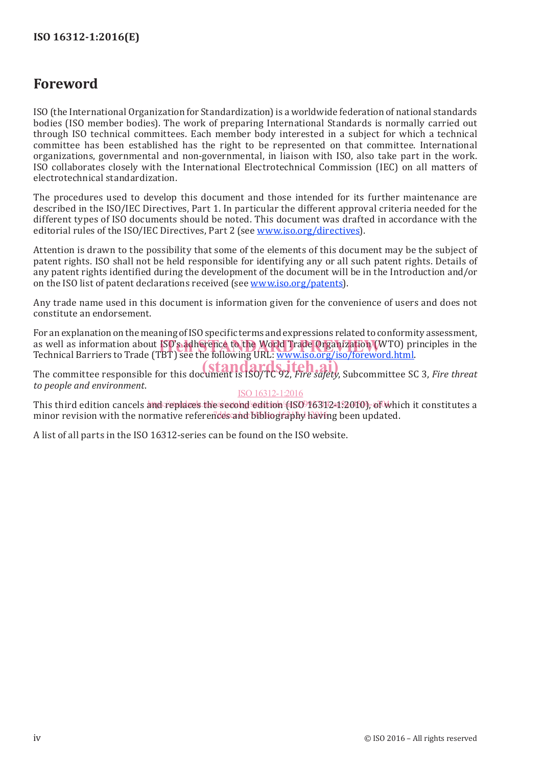### **Foreword**

ISO (the International Organization for Standardization) is a worldwide federation of national standards bodies (ISO member bodies). The work of preparing International Standards is normally carried out through ISO technical committees. Each member body interested in a subject for which a technical committee has been established has the right to be represented on that committee. International organizations, governmental and non-governmental, in liaison with ISO, also take part in the work. ISO collaborates closely with the International Electrotechnical Commission (IEC) on all matters of electrotechnical standardization.

The procedures used to develop this document and those intended for its further maintenance are described in the ISO/IEC Directives, Part 1. In particular the different approval criteria needed for the different types of ISO documents should be noted. This document was drafted in accordance with the editorial rules of the ISO/IEC Directives, Part 2 (see www.iso.org/directives).

Attention is drawn to the possibility that some of the elements of this document may be the subject of patent rights. ISO shall not be held responsible for identifying any or all such patent rights. Details of any patent rights identified during the development of the document will be in the Introduction and/or on the ISO list of patent declarations received (see www.iso.org/patents).

Any trade name used in this document is information given for the convenience of users and does not constitute an endorsement.

For an explanation on the meaning of ISO specific terms and expressions related to conformity assessment, as well as information about ISO's adherence to the World Trade Organization (WTO) principles in the<br>Technical Barriers to Trade (TBT) see the following URL: www.iso.org/iso/foreword.html Technical Barriers to Trade (TBT) see the following URL: www.iso.org/iso/foreword.html.

The committee responsible for this document is ISO/TC 92, *Fire safety*, Subcommittee SC 3, *Fire threat* **(standards.iteh.ai)** *to people and environment*.

#### ISO 16312-1:2016

This third edition cancels and replaces the second edition (1ISO 163112=152010), of which it constitutes a minor revision with the normative referen<mark>des and bibliography hav</mark>ing been updated.

A list of all parts in the ISO 16312-series can be found on the ISO website.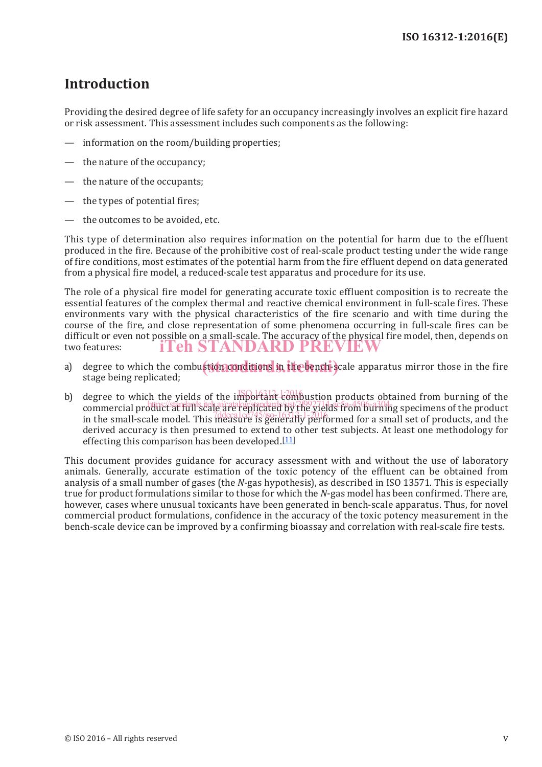### **Introduction**

Providing the desired degree of life safety for an occupancy increasingly involves an explicit fire hazard or risk assessment. This assessment includes such components as the following:

- information on the room/building properties;
- the nature of the occupancy;
- the nature of the occupants;
- the types of potential fires;
- the outcomes to be avoided, etc.

This type of determination also requires information on the potential for harm due to the effluent produced in the fire. Because of the prohibitive cost of real-scale product testing under the wide range of fire conditions, most estimates of the potential harm from the fire effluent depend on data generated from a physical fire model, a reduced-scale test apparatus and procedure for its use.

The role of a physical fire model for generating accurate toxic effluent composition is to recreate the essential features of the complex thermal and reactive chemical environment in full-scale fires. These environments vary with the physical characteristics of the fire scenario and with time during the course of the fire, and close representation of some phenomena occurring in full-scale fires can be difficult or even not possible on a small-scale. The accuracy of the physical fire model, then, depends on two features: iTeh STANDARD PREVIEW

- a) degree to which the combustion conditions in the bench-scale apparatus mirror those in the fire stage being replicated;
- b) degree to which the yields of the  $\lim_{x\to 0} \lim_{x\to 0} \lim_{x\to 0} \lim_{x\to 0} \lim_{x\to 0} \lim_{x\to 0} \lim_{x\to 0} \lim_{x\to 0} \lim_{x\to 0} \lim_{x\to 0} \lim_{x\to 0} \lim_{x\to 0} \lim_{x\to 0} \lim_{x\to 0} \lim_{x\to 0} \lim_{x\to 0} \lim_{x\to 0} \lim_{x\to 0} \lim_{x\to 0} \lim_{x\to 0} \lim_{$ commercial product at full scale are replicated by the yields from burning specimens of the product in the small-scale model. This measure is generally performed for a small set of products, and the derived accuracy is then presumed to extend to other test subjects. At least one methodology for effecting this comparison has been developed.[11]

This document provides guidance for accuracy assessment with and without the use of laboratory animals. Generally, accurate estimation of the toxic potency of the effluent can be obtained from analysis of a small number of gases (the *N*-gas hypothesis), as described in ISO 13571. This is especially true for product formulations similar to those for which the *N*-gas model has been confirmed. There are, however, cases where unusual toxicants have been generated in bench-scale apparatus. Thus, for novel commercial product formulations, confidence in the accuracy of the toxic potency measurement in the bench-scale device can be improved by a confirming bioassay and correlation with real-scale fire tests.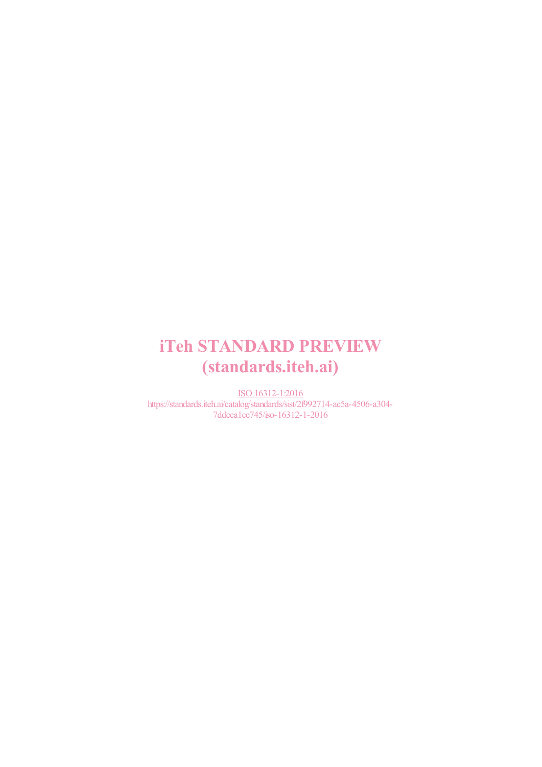## iTeh STANDARD PREVIEW (standards.iteh.ai)

ISO 16312-1:2016 https://standards.iteh.ai/catalog/standards/sist/2f992714-ac5a-4506-a304- 7ddeca1ce745/iso-16312-1-2016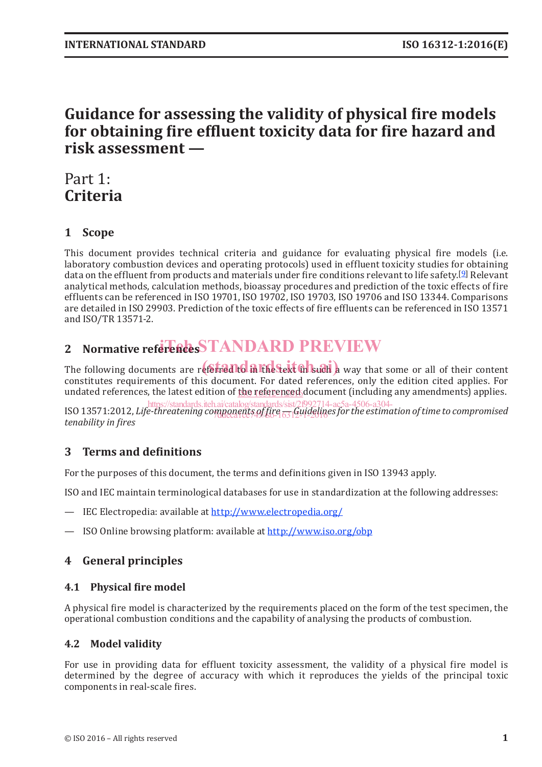## **Guidance for assessing the validity of physical fire models for obtaining fire effluent toxicity data for fire hazard and risk assessment —**

## Part 1: **Criteria**

#### **1 Scope**

This document provides technical criteria and guidance for evaluating physical fire models (i.e. laboratory combustion devices and operating protocols) used in effluent toxicity studies for obtaining data on the effluent from products and materials under fire conditions relevant to life safety.[9] Relevant analytical methods, calculation methods, bioassay procedures and prediction of the toxic effects of fire effluents can be referenced in ISO 19701, ISO 19702, ISO 19703, ISO 19706 and ISO 13344. Comparisons are detailed in ISO 29903. Prediction of the toxic effects of fire effluents can be referenced in ISO 13571 and ISO/TR 13571-2.

## 2 Normative references **STANDARD PREVIEW**

The following documents are referred to in the text this uch a way that some or all of their content constitutes requirements of this document. For dated references, only the edition cited applies. For undated references, the latest edition of <u>the referenced d</u>ocument (including any amendments) applies.

ISO13571:2012, *Life-threatening components of fire— Guidelines for the estimation of time to compromised tenability in fires* https://standards.iteh.ai/catalog/standards/sist/2f992714-ac5a-4506-a304- 10deca1ce749/<del>1</del>0-1631944-2016

### **3 Terms and definitions**

For the purposes of this document, the terms and definitions given in ISO 13943 apply.

ISO and IEC maintain terminological databases for use in standardization at the following addresses:

- IEC Electropedia: available at http://www.electropedia.org/
- ISO Online browsing platform: available at http://www.iso.org/obp

#### **4 General principles**

#### **4.1 Physical fire model**

A physical fire model is characterized by the requirements placed on the form of the test specimen, the operational combustion conditions and the capability of analysing the products of combustion.

#### **4.2 Model validity**

For use in providing data for effluent toxicity assessment, the validity of a physical fire model is determined by the degree of accuracy with which it reproduces the yields of the principal toxic components in real-scale fires.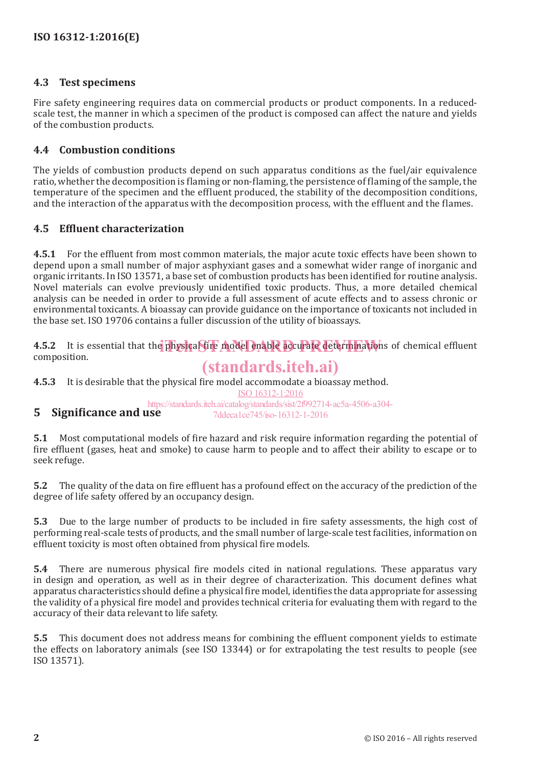#### **4.3 Test specimens**

Fire safety engineering requires data on commercial products or product components. In a reducedscale test, the manner in which a specimen of the product is composed can affect the nature and yields of the combustion products.

#### **4.4 Combustion conditions**

The yields of combustion products depend on such apparatus conditions as the fuel/air equivalence ratio, whether the decomposition is flaming or non-flaming, the persistence of flaming of the sample, the temperature of the specimen and the effluent produced, the stability of the decomposition conditions, and the interaction of the apparatus with the decomposition process, with the effluent and the flames.

#### **4.5 Effluent characterization**

**4.5.1** For the effluent from most common materials, the major acute toxic effects have been shown to depend upon a small number of major asphyxiant gases and a somewhat wider range of inorganic and organic irritants. In ISO 13571, a base set of combustion products has been identified for routine analysis. Novel materials can evolve previously unidentified toxic products. Thus, a more detailed chemical analysis can be needed in order to provide a full assessment of acute effects and to assess chronic or environmental toxicants. A bioassay can provide guidance on the importance of toxicants not included in the base set. ISO 19706 contains a fuller discussion of the utility of bioassays.

**4.5.2** It is essential that the physical fire model enable accurate determinations of chemical effluent composition.

## (standards.iteh.ai)

**4.5.3** It is desirable that the physical fire model accommodate a bioassay method.

ISO 16312-1:2016

**5 Significance and use** https://standards.iteh.ai/catalog/standards/sist/2f992714-ac5a-4506-a304- 7ddeca1ce745/iso-16312-1-2016

**5.1** Most computational models of fire hazard and risk require information regarding the potential of fire effluent (gases, heat and smoke) to cause harm to people and to affect their ability to escape or to seek refuge.

**5.2** The quality of the data on fire effluent has a profound effect on the accuracy of the prediction of the degree of life safety offered by an occupancy design.

**5.3** Due to the large number of products to be included in fire safety assessments, the high cost of performing real-scale tests of products, and the small number of large-scale test facilities, information on effluent toxicity is most often obtained from physical fire models.

**5.4** There are numerous physical fire models cited in national regulations. These apparatus vary in design and operation, as well as in their degree of characterization. This document defines what apparatus characteristics should define a physical fire model, identifies the data appropriate for assessing the validity of a physical fire model and provides technical criteria for evaluating them with regard to the accuracy of their data relevant to life safety.

**5.5** This document does not address means for combining the effluent component yields to estimate the effects on laboratory animals (see ISO 13344) or for extrapolating the test results to people (see ISO 13571).